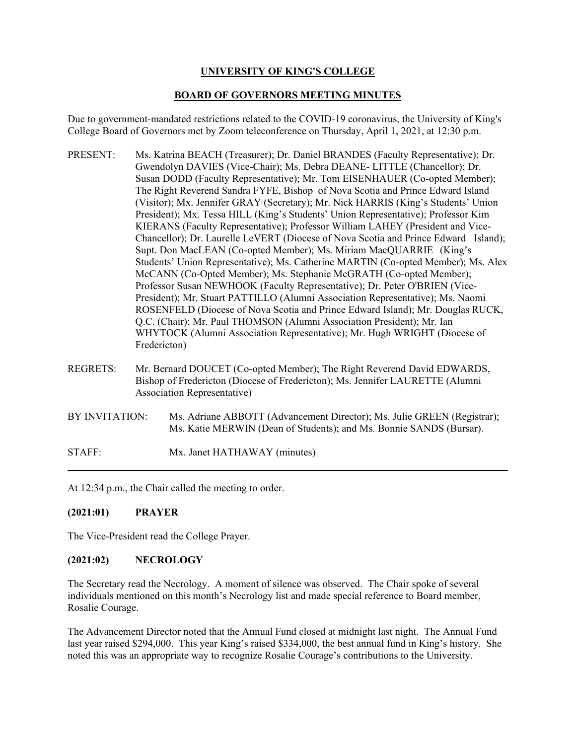# **UNIVERSITY OF KING'S COLLEGE**

# **BOARD OF GOVERNORS MEETING MINUTES**

Due to government-mandated restrictions related to the COVID-19 coronavirus, the University of King's College Board of Governors met by Zoom teleconference on Thursday, April 1, 2021, at 12:30 p.m.

- PRESENT: Ms. Katrina BEACH (Treasurer); Dr. Daniel BRANDES (Faculty Representative); Dr. Gwendolyn DAVIES (Vice-Chair); Ms. Debra DEANE- LITTLE (Chancellor); Dr. Susan DODD (Faculty Representative); Mr. Tom EISENHAUER (Co-opted Member); The Right Reverend Sandra FYFE, Bishop of Nova Scotia and Prince Edward Island (Visitor); Mx. Jennifer GRAY (Secretary); Mr. Nick HARRIS (King's Students' Union President); Mx. Tessa HILL (King's Students' Union Representative); Professor Kim KIERANS (Faculty Representative); Professor William LAHEY (President and Vice-Chancellor); Dr. Laurelle LeVERT (Diocese of Nova Scotia and Prince Edward Island); Supt. Don MacLEAN (Co-opted Member); Ms. Miriam MacQUARRIE (King's Students' Union Representative); Ms. Catherine MARTIN (Co-opted Member); Ms. Alex McCANN (Co-Opted Member); Ms. Stephanie McGRATH (Co-opted Member); Professor Susan NEWHOOK (Faculty Representative); Dr. Peter O'BRIEN (Vice-President); Mr. Stuart PATTILLO (Alumni Association Representative); Ms. Naomi ROSENFELD (Diocese of Nova Scotia and Prince Edward Island); Mr. Douglas RUCK, Q.C. (Chair); Mr. Paul THOMSON (Alumni Association President); Mr. Ian WHYTOCK (Alumni Association Representative); Mr. Hugh WRIGHT (Diocese of Fredericton)
- REGRETS: Mr. Bernard DOUCET (Co-opted Member); The Right Reverend David EDWARDS, Bishop of Fredericton (Diocese of Fredericton); Ms. Jennifer LAURETTE (Alumni Association Representative)
- BY INVITATION: Ms. Adriane ABBOTT (Advancement Director); Ms. Julie GREEN (Registrar); Ms. Katie MERWIN (Dean of Students); and Ms. Bonnie SANDS (Bursar).

STAFF: Mx. Janet HATHAWAY (minutes)

At 12:34 p.m., the Chair called the meeting to order.

# **(2021:01) PRAYER**

The Vice-President read the College Prayer.

# **(2021:02) NECROLOGY**

The Secretary read the Necrology. A moment of silence was observed. The Chair spoke of several individuals mentioned on this month's Necrology list and made special reference to Board member, Rosalie Courage.

The Advancement Director noted that the Annual Fund closed at midnight last night. The Annual Fund last year raised \$294,000. This year King's raised \$334,000, the best annual fund in King's history. She noted this was an appropriate way to recognize Rosalie Courage's contributions to the University.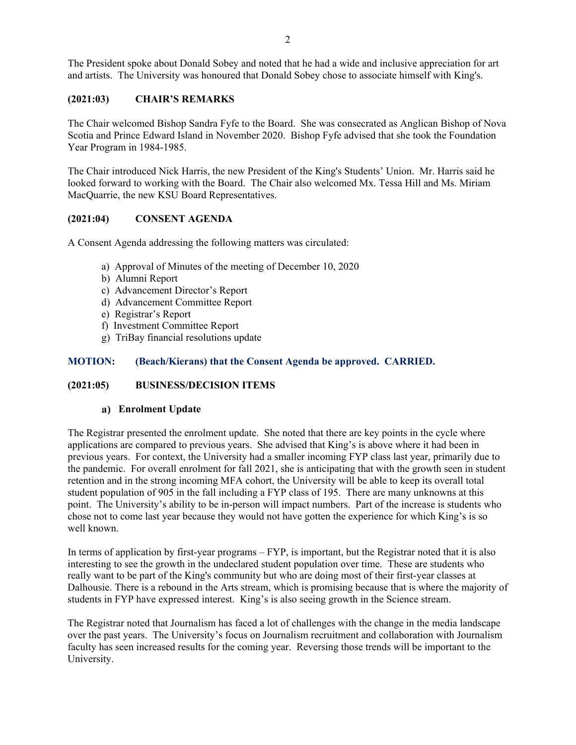The President spoke about Donald Sobey and noted that he had a wide and inclusive appreciation for art and artists. The University was honoured that Donald Sobey chose to associate himself with King's.

#### **(2021:03) CHAIR'S REMARKS**

The Chair welcomed Bishop Sandra Fyfe to the Board. She was consecrated as Anglican Bishop of Nova Scotia and Prince Edward Island in November 2020. Bishop Fyfe advised that she took the Foundation Year Program in 1984-1985.

The Chair introduced Nick Harris, the new President of the King's Students' Union. Mr. Harris said he looked forward to working with the Board. The Chair also welcomed Mx. Tessa Hill and Ms. Miriam MacQuarrie, the new KSU Board Representatives.

#### **(2021:04) CONSENT AGENDA**

A Consent Agenda addressing the following matters was circulated:

- a) Approval of Minutes of the meeting of December 10, 2020
- b) Alumni Report
- c) Advancement Director's Report
- d) Advancement Committee Report
- e) Registrar's Report
- f) Investment Committee Report
- g) TriBay financial resolutions update

#### **MOTION: (Beach/Kierans) that the Consent Agenda be approved. CARRIED.**

#### **(2021:05) BUSINESS/DECISION ITEMS**

#### **Enrolment Update**

The Registrar presented the enrolment update. She noted that there are key points in the cycle where applications are compared to previous years. She advised that King's is above where it had been in previous years. For context, the University had a smaller incoming FYP class last year, primarily due to the pandemic. For overall enrolment for fall 2021, she is anticipating that with the growth seen in student retention and in the strong incoming MFA cohort, the University will be able to keep its overall total student population of 905 in the fall including a FYP class of 195. There are many unknowns at this point. The University's ability to be in-person will impact numbers. Part of the increase is students who chose not to come last year because they would not have gotten the experience for which King's is so well known.

In terms of application by first-year programs – FYP, is important, but the Registrar noted that it is also interesting to see the growth in the undeclared student population over time. These are students who really want to be part of the King's community but who are doing most of their first-year classes at Dalhousie. There is a rebound in the Arts stream, which is promising because that is where the majority of students in FYP have expressed interest. King's is also seeing growth in the Science stream.

The Registrar noted that Journalism has faced a lot of challenges with the change in the media landscape over the past years. The University's focus on Journalism recruitment and collaboration with Journalism faculty has seen increased results for the coming year. Reversing those trends will be important to the University.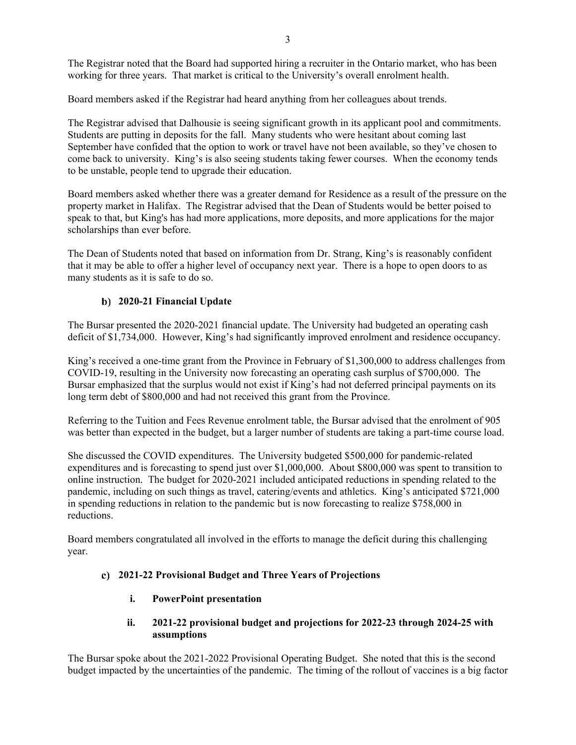The Registrar noted that the Board had supported hiring a recruiter in the Ontario market, who has been working for three years. That market is critical to the University's overall enrolment health.

Board members asked if the Registrar had heard anything from her colleagues about trends.

The Registrar advised that Dalhousie is seeing significant growth in its applicant pool and commitments. Students are putting in deposits for the fall. Many students who were hesitant about coming last September have confided that the option to work or travel have not been available, so they've chosen to come back to university. King's is also seeing students taking fewer courses. When the economy tends to be unstable, people tend to upgrade their education.

Board members asked whether there was a greater demand for Residence as a result of the pressure on the property market in Halifax. The Registrar advised that the Dean of Students would be better poised to speak to that, but King's has had more applications, more deposits, and more applications for the major scholarships than ever before.

The Dean of Students noted that based on information from Dr. Strang, King's is reasonably confident that it may be able to offer a higher level of occupancy next year. There is a hope to open doors to as many students as it is safe to do so.

# **2020-21 Financial Update**

The Bursar presented the 2020-2021 financial update. The University had budgeted an operating cash deficit of \$1,734,000. However, King's had significantly improved enrolment and residence occupancy.

King's received a one-time grant from the Province in February of \$1,300,000 to address challenges from COVID-19, resulting in the University now forecasting an operating cash surplus of \$700,000. The Bursar emphasized that the surplus would not exist if King's had not deferred principal payments on its long term debt of \$800,000 and had not received this grant from the Province.

Referring to the Tuition and Fees Revenue enrolment table, the Bursar advised that the enrolment of 905 was better than expected in the budget, but a larger number of students are taking a part-time course load.

She discussed the COVID expenditures. The University budgeted \$500,000 for pandemic-related expenditures and is forecasting to spend just over \$1,000,000. About \$800,000 was spent to transition to online instruction. The budget for 2020-2021 included anticipated reductions in spending related to the pandemic, including on such things as travel, catering/events and athletics. King's anticipated \$721,000 in spending reductions in relation to the pandemic but is now forecasting to realize \$758,000 in reductions.

Board members congratulated all involved in the efforts to manage the deficit during this challenging year.

# **2021-22 Provisional Budget and Three Years of Projections**

**i. PowerPoint presentation**

# **ii. 2021-22 provisional budget and projections for 2022-23 through 2024-25 with assumptions**

The Bursar spoke about the 2021-2022 Provisional Operating Budget. She noted that this is the second budget impacted by the uncertainties of the pandemic. The timing of the rollout of vaccines is a big factor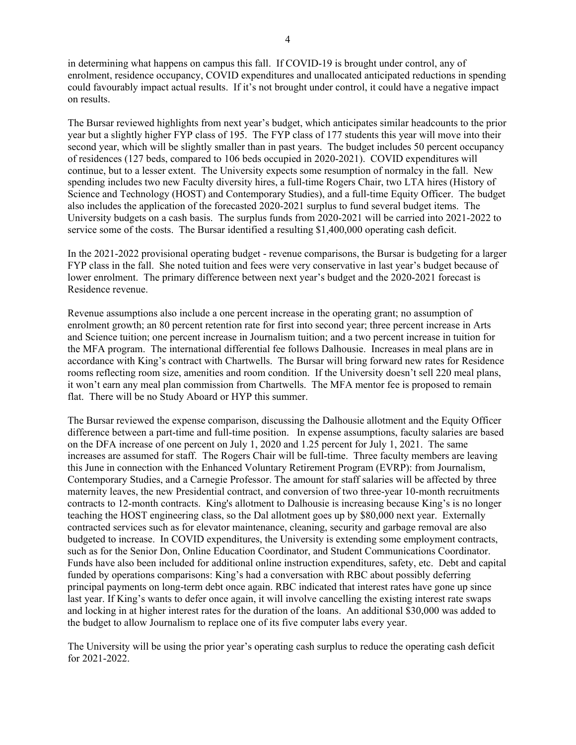in determining what happens on campus this fall.If COVID-19 is brought under control, any of enrolment, residence occupancy, COVID expenditures and unallocated anticipated reductions in spending could favourably impact actual results. If it's not brought under control, it could have a negative impact on results.

The Bursar reviewed highlights from next year's budget, which anticipates similar headcounts to the prior year but a slightly higher FYP class of 195. The FYP class of 177 students this year will move into their second year, which will be slightly smaller than in past years. The budget includes 50 percent occupancy of residences (127 beds, compared to 106 beds occupied in 2020-2021). COVID expenditures will continue, but to a lesser extent. The University expects some resumption of normalcy in the fall. New spending includes two new Faculty diversity hires, a full-time Rogers Chair, two LTA hires (History of Science and Technology (HOST) and Contemporary Studies), and a full-time Equity Officer. The budget also includes the application of the forecasted 2020-2021 surplus to fund several budget items. The University budgets on a cash basis. The surplus funds from 2020-2021 will be carried into 2021-2022 to service some of the costs. The Bursar identified a resulting \$1,400,000 operating cash deficit.

In the 2021-2022 provisional operating budget - revenue comparisons, the Bursar is budgeting for a larger FYP class in the fall. She noted tuition and fees were very conservative in last year's budget because of lower enrolment. The primary difference between next year's budget and the 2020-2021 forecast is Residence revenue.

Revenue assumptions also include a one percent increase in the operating grant; no assumption of enrolment growth; an 80 percent retention rate for first into second year; three percent increase in Arts and Science tuition; one percent increase in Journalism tuition; and a two percent increase in tuition for the MFA program. The international differential fee follows Dalhousie. Increases in meal plans are in accordance with King's contract with Chartwells. The Bursar will bring forward new rates for Residence rooms reflecting room size, amenities and room condition. If the University doesn't sell 220 meal plans, it won't earn any meal plan commission from Chartwells. The MFA mentor fee is proposed to remain flat. There will be no Study Aboard or HYP this summer.

The Bursar reviewed the expense comparison, discussing the Dalhousie allotment and the Equity Officer difference between a part-time and full-time position. In expense assumptions, faculty salaries are based on the DFA increase of one percent on July 1, 2020 and 1.25 percent for July 1, 2021. The same increases are assumed for staff. The Rogers Chair will be full-time. Three faculty members are leaving this June in connection with the Enhanced Voluntary Retirement Program (EVRP): from Journalism, Contemporary Studies, and a Carnegie Professor. The amount for staff salaries will be affected by three maternity leaves, the new Presidential contract, and conversion of two three-year 10-month recruitments contracts to 12-month contracts. King's allotment to Dalhousie is increasing because King's is no longer teaching the HOST engineering class, so the Dal allotment goes up by \$80,000 next year. Externally contracted services such as for elevator maintenance, cleaning, security and garbage removal are also budgeted to increase. In COVID expenditures, the University is extending some employment contracts, such as for the Senior Don, Online Education Coordinator, and Student Communications Coordinator. Funds have also been included for additional online instruction expenditures, safety, etc. Debt and capital funded by operations comparisons: King's had a conversation with RBC about possibly deferring principal payments on long-term debt once again. RBC indicated that interest rates have gone up since last year. If King's wants to defer once again, it will involve cancelling the existing interest rate swaps and locking in at higher interest rates for the duration of the loans. An additional \$30,000 was added to the budget to allow Journalism to replace one of its five computer labs every year.

The University will be using the prior year's operating cash surplus to reduce the operating cash deficit for 2021-2022.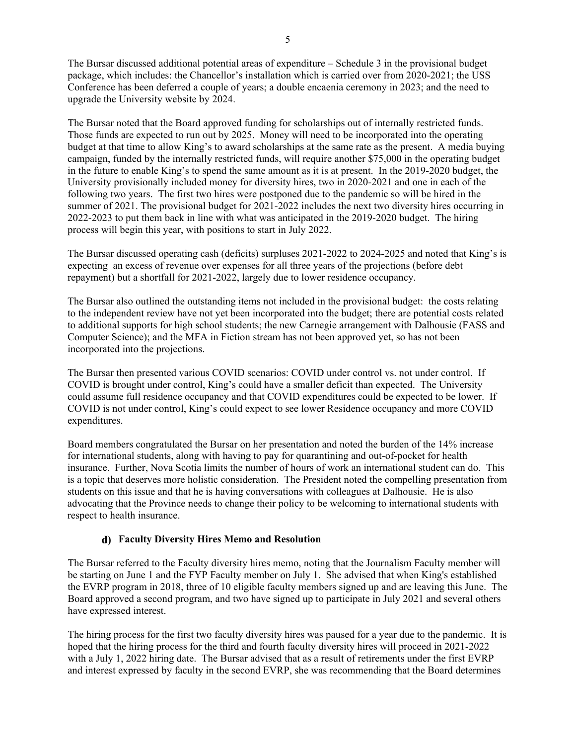The Bursar discussed additional potential areas of expenditure – Schedule 3 in the provisional budget package, which includes: the Chancellor's installation which is carried over from 2020-2021; the USS Conference has been deferred a couple of years; a double encaenia ceremony in 2023; and the need to upgrade the University website by 2024.

The Bursar noted that the Board approved funding for scholarships out of internally restricted funds. Those funds are expected to run out by 2025. Money will need to be incorporated into the operating budget at that time to allow King's to award scholarships at the same rate as the present. A media buying campaign, funded by the internally restricted funds, will require another \$75,000 in the operating budget in the future to enable King's to spend the same amount as it is at present. In the 2019-2020 budget, the University provisionally included money for diversity hires, two in 2020-2021 and one in each of the following two years. The first two hires were postponed due to the pandemic so will be hired in the summer of 2021. The provisional budget for 2021-2022 includes the next two diversity hires occurring in 2022-2023 to put them back in line with what was anticipated in the 2019-2020 budget. The hiring process will begin this year, with positions to start in July 2022.

The Bursar discussed operating cash (deficits) surpluses 2021-2022 to 2024-2025 and noted that King's is expecting an excess of revenue over expenses for all three years of the projections (before debt repayment) but a shortfall for 2021-2022, largely due to lower residence occupancy.

The Bursar also outlined the outstanding items not included in the provisional budget: the costs relating to the independent review have not yet been incorporated into the budget; there are potential costs related to additional supports for high school students; the new Carnegie arrangement with Dalhousie (FASS and Computer Science); and the MFA in Fiction stream has not been approved yet, so has not been incorporated into the projections.

The Bursar then presented various COVID scenarios: COVID under control vs. not under control. If COVID is brought under control, King's could have a smaller deficit than expected. The University could assume full residence occupancy and that COVID expenditures could be expected to be lower. If COVID is not under control, King's could expect to see lower Residence occupancy and more COVID expenditures.

Board members congratulated the Bursar on her presentation and noted the burden of the 14% increase for international students, along with having to pay for quarantining and out-of-pocket for health insurance. Further, Nova Scotia limits the number of hours of work an international student can do. This is a topic that deserves more holistic consideration. The President noted the compelling presentation from students on this issue and that he is having conversations with colleagues at Dalhousie. He is also advocating that the Province needs to change their policy to be welcoming to international students with respect to health insurance.

# **Faculty Diversity Hires Memo and Resolution**

The Bursar referred to the Faculty diversity hires memo, noting that the Journalism Faculty member will be starting on June 1 and the FYP Faculty member on July 1. She advised that when King's established the EVRP program in 2018, three of 10 eligible faculty members signed up and are leaving this June. The Board approved a second program, and two have signed up to participate in July 2021 and several others have expressed interest.

The hiring process for the first two faculty diversity hires was paused for a year due to the pandemic. It is hoped that the hiring process for the third and fourth faculty diversity hires will proceed in 2021-2022 with a July 1, 2022 hiring date. The Bursar advised that as a result of retirements under the first EVRP and interest expressed by faculty in the second EVRP, she was recommending that the Board determines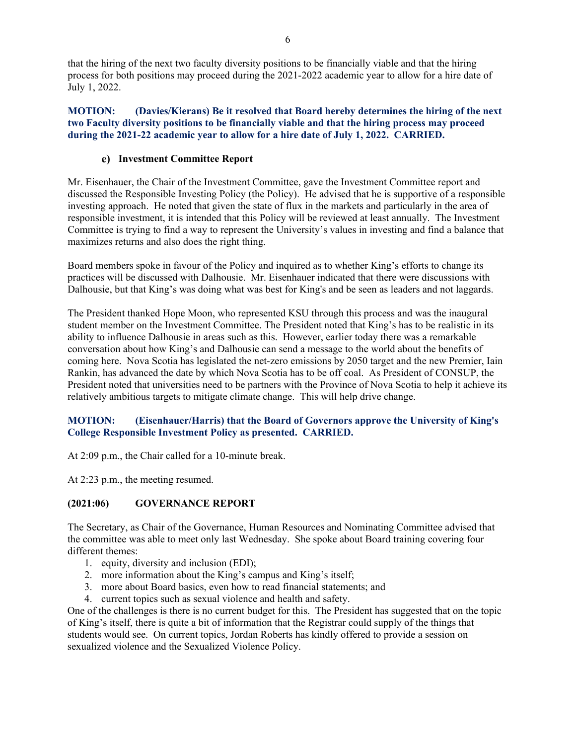that the hiring of the next two faculty diversity positions to be financially viable and that the hiring process for both positions may proceed during the 2021-2022 academic year to allow for a hire date of July 1, 2022.

**MOTION: (Davies/Kierans) Be it resolved that Board hereby determines the hiring of the next two Faculty diversity positions to be financially viable and that the hiring process may proceed during the 2021-22 academic year to allow for a hire date of July 1, 2022. CARRIED.**

# **Investment Committee Report**

Mr. Eisenhauer, the Chair of the Investment Committee, gave the Investment Committee report and discussed the Responsible Investing Policy (the Policy). He advised that he is supportive of a responsible investing approach. He noted that given the state of flux in the markets and particularly in the area of responsible investment, it is intended that this Policy will be reviewed at least annually. The Investment Committee is trying to find a way to represent the University's values in investing and find a balance that maximizes returns and also does the right thing.

Board members spoke in favour of the Policy and inquired as to whether King's efforts to change its practices will be discussed with Dalhousie. Mr. Eisenhauer indicated that there were discussions with Dalhousie, but that King's was doing what was best for King's and be seen as leaders and not laggards.

The President thanked Hope Moon, who represented KSU through this process and was the inaugural student member on the Investment Committee. The President noted that King's has to be realistic in its ability to influence Dalhousie in areas such as this. However, earlier today there was a remarkable conversation about how King's and Dalhousie can send a message to the world about the benefits of coming here. Nova Scotia has legislated the net-zero emissions by 2050 target and the new Premier, Iain Rankin, has advanced the date by which Nova Scotia has to be off coal. As President of CONSUP, the President noted that universities need to be partners with the Province of Nova Scotia to help it achieve its relatively ambitious targets to mitigate climate change. This will help drive change.

# **MOTION: (Eisenhauer/Harris) that the Board of Governors approve the University of King's College Responsible Investment Policy as presented. CARRIED.**

At 2:09 p.m., the Chair called for a 10-minute break.

At 2:23 p.m., the meeting resumed.

# **(2021:06) GOVERNANCE REPORT**

The Secretary, as Chair of the Governance, Human Resources and Nominating Committee advised that the committee was able to meet only last Wednesday. She spoke about Board training covering four different themes:

- 1. equity, diversity and inclusion (EDI);
- 2. more information about the King's campus and King's itself;
- 3. more about Board basics, even how to read financial statements; and
- 4. current topics such as sexual violence and health and safety.

One of the challenges is there is no current budget for this. The President has suggested that on the topic of King's itself, there is quite a bit of information that the Registrar could supply of the things that students would see. On current topics, Jordan Roberts has kindly offered to provide a session on sexualized violence and the Sexualized Violence Policy.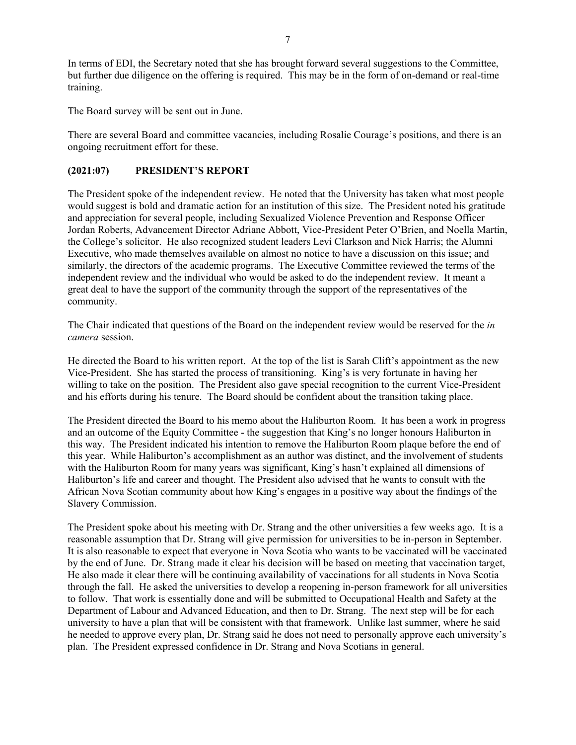In terms of EDI, the Secretary noted that she has brought forward several suggestions to the Committee, but further due diligence on the offering is required. This may be in the form of on-demand or real-time training.

The Board survey will be sent out in June.

There are several Board and committee vacancies, including Rosalie Courage's positions, and there is an ongoing recruitment effort for these.

# **(2021:07) PRESIDENT'S REPORT**

The President spoke of the independent review. He noted that the University has taken what most people would suggest is bold and dramatic action for an institution of this size. The President noted his gratitude and appreciation for several people, including Sexualized Violence Prevention and Response Officer Jordan Roberts, Advancement Director Adriane Abbott, Vice-President Peter O'Brien, and Noella Martin, the College's solicitor. He also recognized student leaders Levi Clarkson and Nick Harris; the Alumni Executive, who made themselves available on almost no notice to have a discussion on this issue; and similarly, the directors of the academic programs. The Executive Committee reviewed the terms of the independent review and the individual who would be asked to do the independent review. It meant a great deal to have the support of the community through the support of the representatives of the community.

The Chair indicated that questions of the Board on the independent review would be reserved for the *in camera* session.

He directed the Board to his written report. At the top of the list is Sarah Clift's appointment as the new Vice-President. She has started the process of transitioning. King's is very fortunate in having her willing to take on the position. The President also gave special recognition to the current Vice-President and his efforts during his tenure. The Board should be confident about the transition taking place.

The President directed the Board to his memo about the Haliburton Room. It has been a work in progress and an outcome of the Equity Committee - the suggestion that King's no longer honours Haliburton in this way. The President indicated his intention to remove the Haliburton Room plaque before the end of this year. While Haliburton's accomplishment as an author was distinct, and the involvement of students with the Haliburton Room for many years was significant, King's hasn't explained all dimensions of Haliburton's life and career and thought. The President also advised that he wants to consult with the African Nova Scotian community about how King's engages in a positive way about the findings of the Slavery Commission.

The President spoke about his meeting with Dr. Strang and the other universities a few weeks ago. It is a reasonable assumption that Dr. Strang will give permission for universities to be in-person in September. It is also reasonable to expect that everyone in Nova Scotia who wants to be vaccinated will be vaccinated by the end of June. Dr. Strang made it clear his decision will be based on meeting that vaccination target, He also made it clear there will be continuing availability of vaccinations for all students in Nova Scotia through the fall. He asked the universities to develop a reopening in-person framework for all universities to follow. That work is essentially done and will be submitted to Occupational Health and Safety at the Department of Labour and Advanced Education, and then to Dr. Strang. The next step will be for each university to have a plan that will be consistent with that framework. Unlike last summer, where he said he needed to approve every plan, Dr. Strang said he does not need to personally approve each university's plan. The President expressed confidence in Dr. Strang and Nova Scotians in general.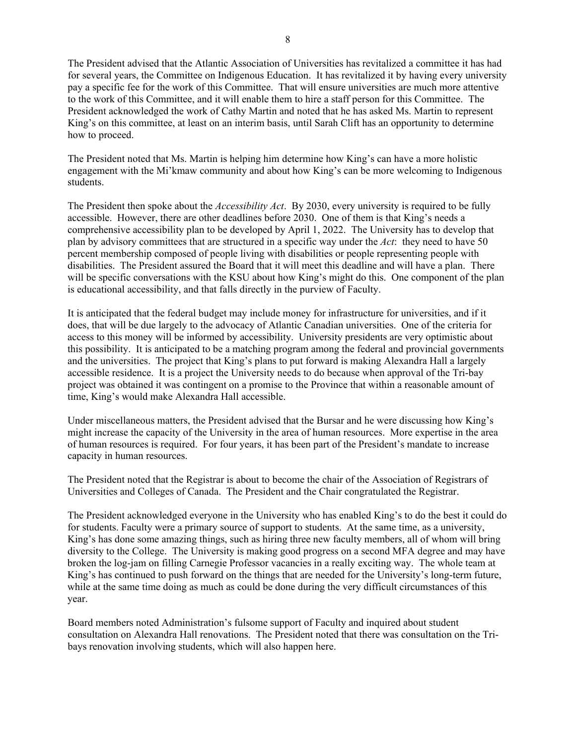The President advised that the Atlantic Association of Universities has revitalized a committee it has had for several years, the Committee on Indigenous Education. It has revitalized it by having every university pay a specific fee for the work of this Committee. That will ensure universities are much more attentive to the work of this Committee, and it will enable them to hire a staff person for this Committee. The President acknowledged the work of Cathy Martin and noted that he has asked Ms. Martin to represent King's on this committee, at least on an interim basis, until Sarah Clift has an opportunity to determine how to proceed.

The President noted that Ms. Martin is helping him determine how King's can have a more holistic engagement with the Mi'kmaw community and about how King's can be more welcoming to Indigenous students.

The President then spoke about the *Accessibility Act*. By 2030, every university is required to be fully accessible. However, there are other deadlines before 2030. One of them is that King's needs a comprehensive accessibility plan to be developed by April 1, 2022. The University has to develop that plan by advisory committees that are structured in a specific way under the *Act*: they need to have 50 percent membership composed of people living with disabilities or people representing people with disabilities. The President assured the Board that it will meet this deadline and will have a plan. There will be specific conversations with the KSU about how King's might do this. One component of the plan is educational accessibility, and that falls directly in the purview of Faculty.

It is anticipated that the federal budget may include money for infrastructure for universities, and if it does, that will be due largely to the advocacy of Atlantic Canadian universities. One of the criteria for access to this money will be informed by accessibility. University presidents are very optimistic about this possibility. It is anticipated to be a matching program among the federal and provincial governments and the universities. The project that King's plans to put forward is making Alexandra Hall a largely accessible residence. It is a project the University needs to do because when approval of the Tri-bay project was obtained it was contingent on a promise to the Province that within a reasonable amount of time, King's would make Alexandra Hall accessible.

Under miscellaneous matters, the President advised that the Bursar and he were discussing how King's might increase the capacity of the University in the area of human resources. More expertise in the area of human resources is required. For four years, it has been part of the President's mandate to increase capacity in human resources.

The President noted that the Registrar is about to become the chair of the Association of Registrars of Universities and Colleges of Canada. The President and the Chair congratulated the Registrar.

The President acknowledged everyone in the University who has enabled King's to do the best it could do for students. Faculty were a primary source of support to students. At the same time, as a university, King's has done some amazing things, such as hiring three new faculty members, all of whom will bring diversity to the College. The University is making good progress on a second MFA degree and may have broken the log-jam on filling Carnegie Professor vacancies in a really exciting way. The whole team at King's has continued to push forward on the things that are needed for the University's long-term future, while at the same time doing as much as could be done during the very difficult circumstances of this year.

Board members noted Administration's fulsome support of Faculty and inquired about student consultation on Alexandra Hall renovations. The President noted that there was consultation on the Tribays renovation involving students, which will also happen here.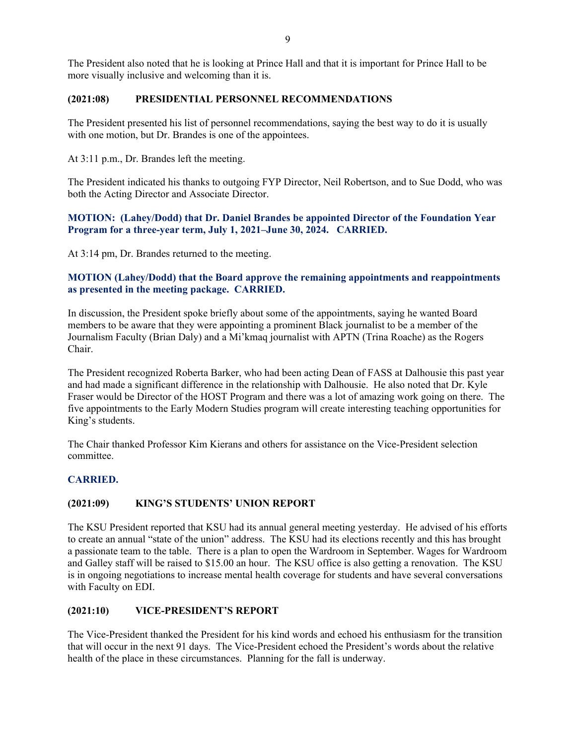The President also noted that he is looking at Prince Hall and that it is important for Prince Hall to be more visually inclusive and welcoming than it is.

#### **(2021:08) PRESIDENTIAL PERSONNEL RECOMMENDATIONS**

The President presented his list of personnel recommendations, saying the best way to do it is usually with one motion, but Dr. Brandes is one of the appointees.

At 3:11 p.m., Dr. Brandes left the meeting.

The President indicated his thanks to outgoing FYP Director, Neil Robertson, and to Sue Dodd, who was both the Acting Director and Associate Director.

**MOTION: (Lahey/Dodd) that Dr. Daniel Brandes be appointed Director of the Foundation Year Program for a three-year term, July 1, 2021–June 30, 2024. CARRIED.**

At 3:14 pm, Dr. Brandes returned to the meeting.

# **MOTION (Lahey/Dodd) that the Board approve the remaining appointments and reappointments as presented in the meeting package. CARRIED.**

In discussion, the President spoke briefly about some of the appointments, saying he wanted Board members to be aware that they were appointing a prominent Black journalist to be a member of the Journalism Faculty (Brian Daly) and a Mi'kmaq journalist with APTN (Trina Roache) as the Rogers Chair.

The President recognized Roberta Barker, who had been acting Dean of FASS at Dalhousie this past year and had made a significant difference in the relationship with Dalhousie. He also noted that Dr. Kyle Fraser would be Director of the HOST Program and there was a lot of amazing work going on there. The five appointments to the Early Modern Studies program will create interesting teaching opportunities for King's students.

The Chair thanked Professor Kim Kierans and others for assistance on the Vice-President selection committee.

# **CARRIED.**

#### **(2021:09) KING'S STUDENTS' UNION REPORT**

The KSU President reported that KSU had its annual general meeting yesterday. He advised of his efforts to create an annual "state of the union" address. The KSU had its elections recently and this has brought a passionate team to the table. There is a plan to open the Wardroom in September. Wages for Wardroom and Galley staff will be raised to \$15.00 an hour. The KSU office is also getting a renovation. The KSU is in ongoing negotiations to increase mental health coverage for students and have several conversations with Faculty on EDI.

# **(2021:10) VICE-PRESIDENT'S REPORT**

The Vice-President thanked the President for his kind words and echoed his enthusiasm for the transition that will occur in the next 91 days. The Vice-President echoed the President's words about the relative health of the place in these circumstances. Planning for the fall is underway.